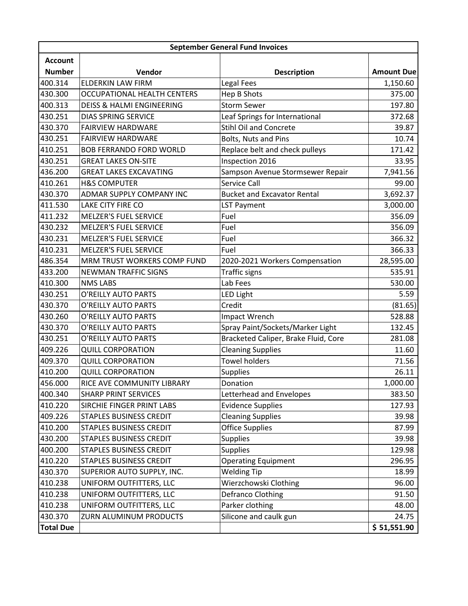| <b>September General Fund Invoices</b> |                                      |                                      |                   |  |
|----------------------------------------|--------------------------------------|--------------------------------------|-------------------|--|
| <b>Account</b>                         |                                      |                                      |                   |  |
| <b>Number</b>                          | Vendor                               | <b>Description</b>                   | <b>Amount Due</b> |  |
| 400.314                                | <b>ELDERKIN LAW FIRM</b>             | Legal Fees                           | 1,150.60          |  |
| 430.300                                | <b>OCCUPATIONAL HEALTH CENTERS</b>   | <b>Hep B Shots</b>                   | 375.00            |  |
| 400.313                                | <b>DEISS &amp; HALMI ENGINEERING</b> | <b>Storm Sewer</b>                   | 197.80            |  |
| 430.251                                | <b>DIAS SPRING SERVICE</b>           | Leaf Springs for International       | 372.68            |  |
| 430.370                                | <b>FAIRVIEW HARDWARE</b>             | <b>Stihl Oil and Concrete</b>        | 39.87             |  |
| 430.251                                | <b>FAIRVIEW HARDWARE</b>             | <b>Bolts, Nuts and Pins</b>          | 10.74             |  |
| 410.251                                | <b>BOB FERRANDO FORD WORLD</b>       | Replace belt and check pulleys       | 171.42            |  |
| 430.251                                | <b>GREAT LAKES ON-SITE</b>           | Inspection 2016                      | 33.95             |  |
| 436.200                                | <b>GREAT LAKES EXCAVATING</b>        | Sampson Avenue Stormsewer Repair     | 7,941.56          |  |
| 410.261                                | <b>H&amp;S COMPUTER</b>              | Service Call                         | 99.00             |  |
| 430.370                                | ADMAR SUPPLY COMPANY INC             | <b>Bucket and Excavator Rental</b>   | 3,692.37          |  |
| 411.530                                | LAKE CITY FIRE CO                    | <b>LST Payment</b>                   | 3,000.00          |  |
| 411.232                                | <b>MELZER'S FUEL SERVICE</b>         | Fuel                                 | 356.09            |  |
| 430.232                                | <b>MELZER'S FUEL SERVICE</b>         | Fuel                                 | 356.09            |  |
| 430.231                                | <b>MELZER'S FUEL SERVICE</b>         | Fuel                                 | 366.32            |  |
| 410.231                                | <b>MELZER'S FUEL SERVICE</b>         | Fuel                                 | 366.33            |  |
| 486.354                                | MRM TRUST WORKERS COMP FUND          | 2020-2021 Workers Compensation       | 28,595.00         |  |
| 433.200                                | <b>NEWMAN TRAFFIC SIGNS</b>          | Traffic signs                        | 535.91            |  |
| 410.300                                | <b>NMS LABS</b>                      | Lab Fees                             | 530.00            |  |
| 430.251                                | O'REILLY AUTO PARTS                  | <b>LED Light</b>                     | 5.59              |  |
| 430.370                                | O'REILLY AUTO PARTS                  | Credit                               | (81.65)           |  |
| 430.260                                | O'REILLY AUTO PARTS                  | Impact Wrench                        | 528.88            |  |
| 430.370                                | O'REILLY AUTO PARTS                  | Spray Paint/Sockets/Marker Light     | 132.45            |  |
| 430.251                                | O'REILLY AUTO PARTS                  | Bracketed Caliper, Brake Fluid, Core | 281.08            |  |
| 409.226                                | <b>QUILL CORPORATION</b>             | <b>Cleaning Supplies</b>             | 11.60             |  |
| 409.370                                | <b>QUILL CORPORATION</b>             | <b>Towel holders</b>                 | 71.56             |  |
| 410.200                                | <b>QUILL CORPORATION</b>             | <b>Supplies</b>                      | 26.11             |  |
| 456.000                                | RICE AVE COMMUNITY LIBRARY           | Donation                             | 1,000.00          |  |
| 400.340                                | <b>SHARP PRINT SERVICES</b>          | Letterhead and Envelopes             | 383.50            |  |
| 410.220                                | SIRCHIE FINGER PRINT LABS            | <b>Evidence Supplies</b>             | 127.93            |  |
| 409.226                                | STAPLES BUSINESS CREDIT              | <b>Cleaning Supplies</b>             | 39.98             |  |
| 410.200                                | STAPLES BUSINESS CREDIT              | <b>Office Supplies</b>               | 87.99             |  |
| 430.200                                | <b>STAPLES BUSINESS CREDIT</b>       | <b>Supplies</b>                      | 39.98             |  |
| 400.200                                | STAPLES BUSINESS CREDIT              | <b>Supplies</b>                      | 129.98            |  |
| 410.220                                | <b>STAPLES BUSINESS CREDIT</b>       | <b>Operating Equipment</b>           | 296.95            |  |
| 430.370                                | SUPERIOR AUTO SUPPLY, INC.           | <b>Welding Tip</b>                   | 18.99             |  |
| 410.238                                | UNIFORM OUTFITTERS, LLC              | Wierzchowski Clothing                | 96.00             |  |
| 410.238                                | UNIFORM OUTFITTERS, LLC              | <b>Defranco Clothing</b>             | 91.50             |  |
| 410.238                                | UNIFORM OUTFITTERS, LLC              | Parker clothing                      | 48.00             |  |
| 430.370                                | ZURN ALUMINUM PRODUCTS               | Silicone and caulk gun               | 24.75             |  |
| <b>Total Due</b>                       |                                      |                                      | \$ 51,551.90      |  |